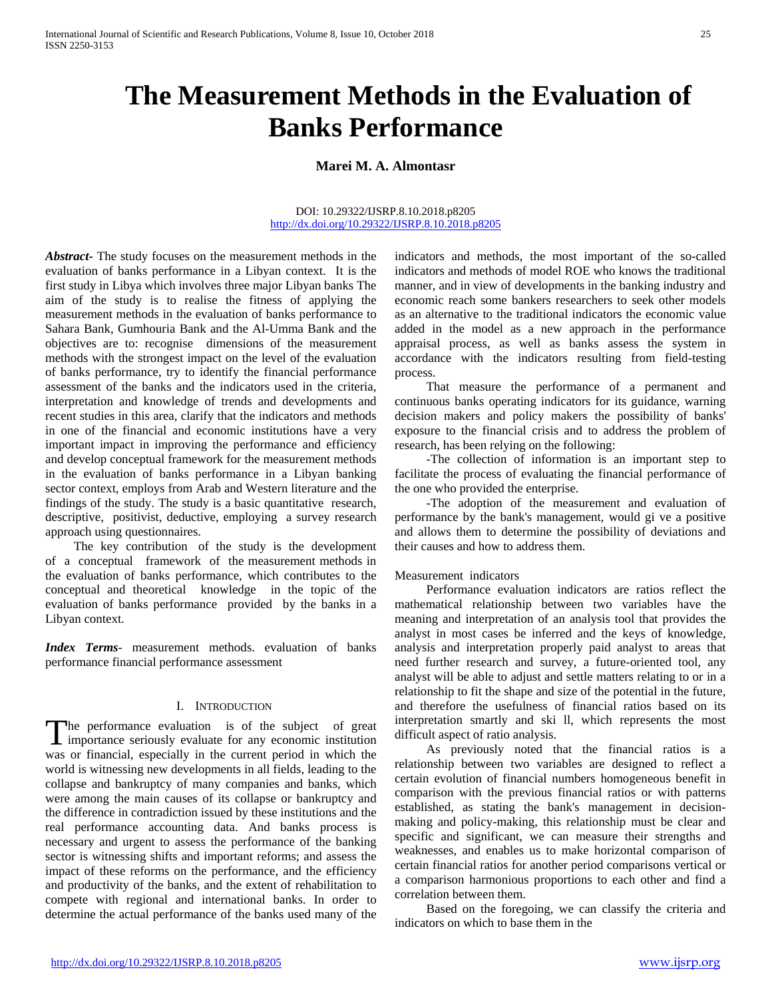# **The Measurement Methods in the Evaluation of Banks Performance**

# **Marei M. A. Almontasr**

#### DOI: 10.29322/IJSRP.8.10.2018.p8205 <http://dx.doi.org/10.29322/IJSRP.8.10.2018.p8205>

*Abstract***-** The study focuses on the measurement methods in the evaluation of banks performance in a Libyan context. It is the first study in Libya which involves three major Libyan banks The aim of the study is to realise the fitness of applying the measurement methods in the evaluation of banks performance to Sahara Bank, Gumhouria Bank and the Al-Umma Bank and the objectives are to: recognise dimensions of the measurement methods with the strongest impact on the level of the evaluation of banks performance, try to identify the financial performance assessment of the banks and the indicators used in the criteria, interpretation and knowledge of trends and developments and recent studies in this area, clarify that the indicators and methods in one of the financial and economic institutions have a very important impact in improving the performance and efficiency and develop conceptual framework for the measurement methods in the evaluation of banks performance in a Libyan banking sector context, employs from Arab and Western literature and the findings of the study. The study is a basic quantitative research, descriptive, positivist, deductive, employing a survey research approach using questionnaires.

 The key contribution of the study is the development of a conceptual framework of the measurement methods in the evaluation of banks performance, which contributes to the conceptual and theoretical knowledge in the topic of the evaluation of banks performance provided by the banks in a Libyan context.

*Index Terms*- measurement methods. evaluation of banks performance financial performance assessment

# I. INTRODUCTION

he performance evaluation is of the subject of great importance seriously evaluate for any economic institution The performance evaluation is of the subject of great importance seriously evaluate for any economic institution was or financial, especially in the current period in which the world is witnessing new developments in all fields, leading to the collapse and bankruptcy of many companies and banks, which were among the main causes of its collapse or bankruptcy and the difference in contradiction issued by these institutions and the real performance accounting data. And banks process is necessary and urgent to assess the performance of the banking sector is witnessing shifts and important reforms; and assess the impact of these reforms on the performance, and the efficiency and productivity of the banks, and the extent of rehabilitation to compete with regional and international banks. In order to determine the actual performance of the banks used many of the

indicators and methods, the most important of the so-called indicators and methods of model ROE who knows the traditional manner, and in view of developments in the banking industry and economic reach some bankers researchers to seek other models as an alternative to the traditional indicators the economic value added in the model as a new approach in the performance appraisal process, as well as banks assess the system in accordance with the indicators resulting from field-testing process.

 That measure the performance of a permanent and continuous banks operating indicators for its guidance, warning decision makers and policy makers the possibility of banks' exposure to the financial crisis and to address the problem of research, has been relying on the following:

 -The collection of information is an important step to facilitate the process of evaluating the financial performance of the one who provided the enterprise.

 -The adoption of the measurement and evaluation of performance by the bank's management, would gi ve a positive and allows them to determine the possibility of deviations and their causes and how to address them.

## Measurement indicators

 Performance evaluation indicators are ratios reflect the mathematical relationship between two variables have the meaning and interpretation of an analysis tool that provides the analyst in most cases be inferred and the keys of knowledge, analysis and interpretation properly paid analyst to areas that need further research and survey, a future-oriented tool, any analyst will be able to adjust and settle matters relating to or in a relationship to fit the shape and size of the potential in the future, and therefore the usefulness of financial ratios based on its interpretation smartly and ski ll, which represents the most difficult aspect of ratio analysis.

 As previously noted that the financial ratios is a relationship between two variables are designed to reflect a certain evolution of financial numbers homogeneous benefit in comparison with the previous financial ratios or with patterns established, as stating the bank's management in decisionmaking and policy-making, this relationship must be clear and specific and significant, we can measure their strengths and weaknesses, and enables us to make horizontal comparison of certain financial ratios for another period comparisons vertical or a comparison harmonious proportions to each other and find a correlation between them.

 Based on the foregoing, we can classify the criteria and indicators on which to base them in the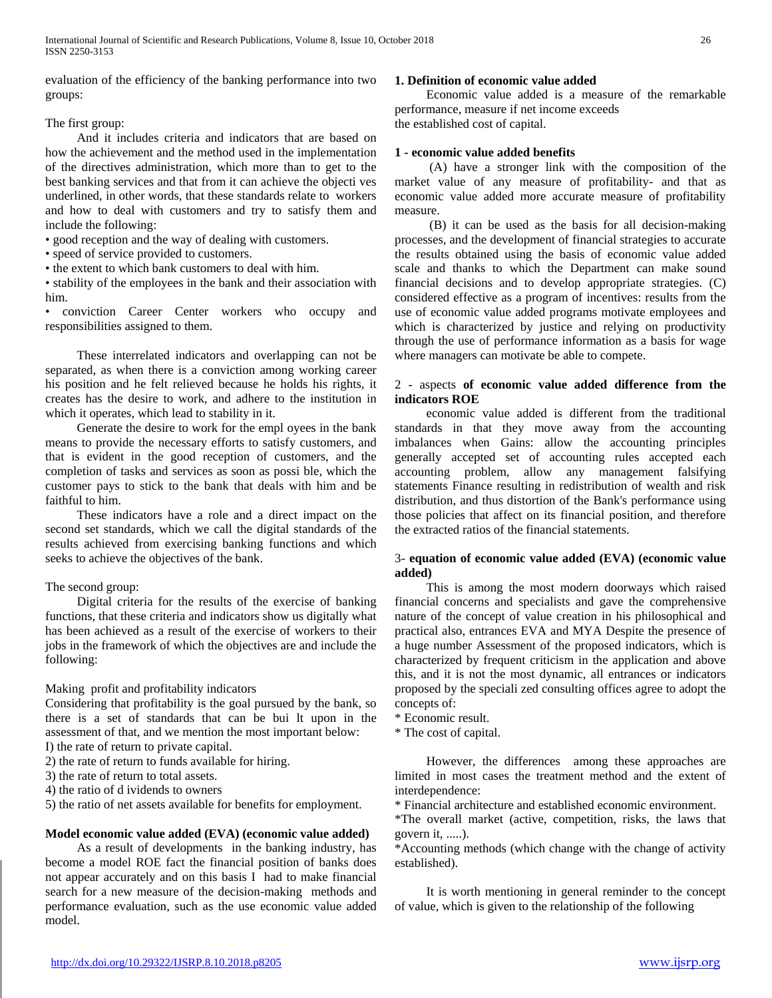evaluation of the efficiency of the banking performance into two groups:

## The first group:

 And it includes criteria and indicators that are based on how the achievement and the method used in the implementation of the directives administration, which more than to get to the best banking services and that from it can achieve the objecti ves underlined, in other words, that these standards relate to workers and how to deal with customers and try to satisfy them and include the following:

• good reception and the way of dealing with customers.

• speed of service provided to customers.

• the extent to which bank customers to deal with him.

• stability of the employees in the bank and their association with him.

• conviction Career Center workers who occupy and responsibilities assigned to them.

 These interrelated indicators and overlapping can not be separated, as when there is a conviction among working career his position and he felt relieved because he holds his rights, it creates has the desire to work, and adhere to the institution in which it operates, which lead to stability in it.

 Generate the desire to work for the empl oyees in the bank means to provide the necessary efforts to satisfy customers, and that is evident in the good reception of customers, and the completion of tasks and services as soon as possi ble, which the customer pays to stick to the bank that deals with him and be faithful to him.

 These indicators have a role and a direct impact on the second set standards, which we call the digital standards of the results achieved from exercising banking functions and which seeks to achieve the objectives of the bank.

## The second group:

 Digital criteria for the results of the exercise of banking functions, that these criteria and indicators show us digitally what has been achieved as a result of the exercise of workers to their jobs in the framework of which the objectives are and include the following:

## Making profit and profitability indicators

Considering that profitability is the goal pursued by the bank, so there is a set of standards that can be bui lt upon in the assessment of that, and we mention the most important below:

- I) the rate of return to private capital.
- 2) the rate of return to funds available for hiring.
- 3) the rate of return to total assets.
- 4) the ratio of d ividends to owners

5) the ratio of net assets available for benefits for employment.

## **Model economic value added (EVA) (economic value added)**

 As a result of developments in the banking industry, has become a model ROE fact the financial position of banks does not appear accurately and on this basis I had to make financial search for a new measure of the decision-making methods and performance evaluation, such as the use economic value added model.

#### **1. Definition of economic value added**

 Economic value added is a measure of the remarkable performance, measure if net income exceeds the established cost of capital.

## **1 - economic value added benefits**

 (A) have a stronger link with the composition of the market value of any measure of profitability- and that as economic value added more accurate measure of profitability measure.

 (B) it can be used as the basis for all decision-making processes, and the development of financial strategies to accurate the results obtained using the basis of economic value added scale and thanks to which the Department can make sound financial decisions and to develop appropriate strategies. (C) considered effective as a program of incentives: results from the use of economic value added programs motivate employees and which is characterized by justice and relying on productivity through the use of performance information as a basis for wage where managers can motivate be able to compete.

# 2 - aspects **of economic value added difference from the indicators ROE**

 economic value added is different from the traditional standards in that they move away from the accounting imbalances when Gains: allow the accounting principles generally accepted set of accounting rules accepted each accounting problem, allow any management falsifying statements Finance resulting in redistribution of wealth and risk distribution, and thus distortion of the Bank's performance using those policies that affect on its financial position, and therefore the extracted ratios of the financial statements.

## 3- **equation of economic value added (EVA) (economic value added)**

 This is among the most modern doorways which raised financial concerns and specialists and gave the comprehensive nature of the concept of value creation in his philosophical and practical also, entrances EVA and MYA Despite the presence of a huge number Assessment of the proposed indicators, which is characterized by frequent criticism in the application and above this, and it is not the most dynamic, all entrances or indicators proposed by the speciali zed consulting offices agree to adopt the concepts of:

- \* Economic result.
- \* The cost of capital.

 However, the differences among these approaches are limited in most cases the treatment method and the extent of interdependence:

\* Financial architecture and established economic environment.

\*The overall market (active, competition, risks, the laws that govern it, .....).

\*Accounting methods (which change with the change of activity established).

 It is worth mentioning in general reminder to the concept of value, which is given to the relationship of the following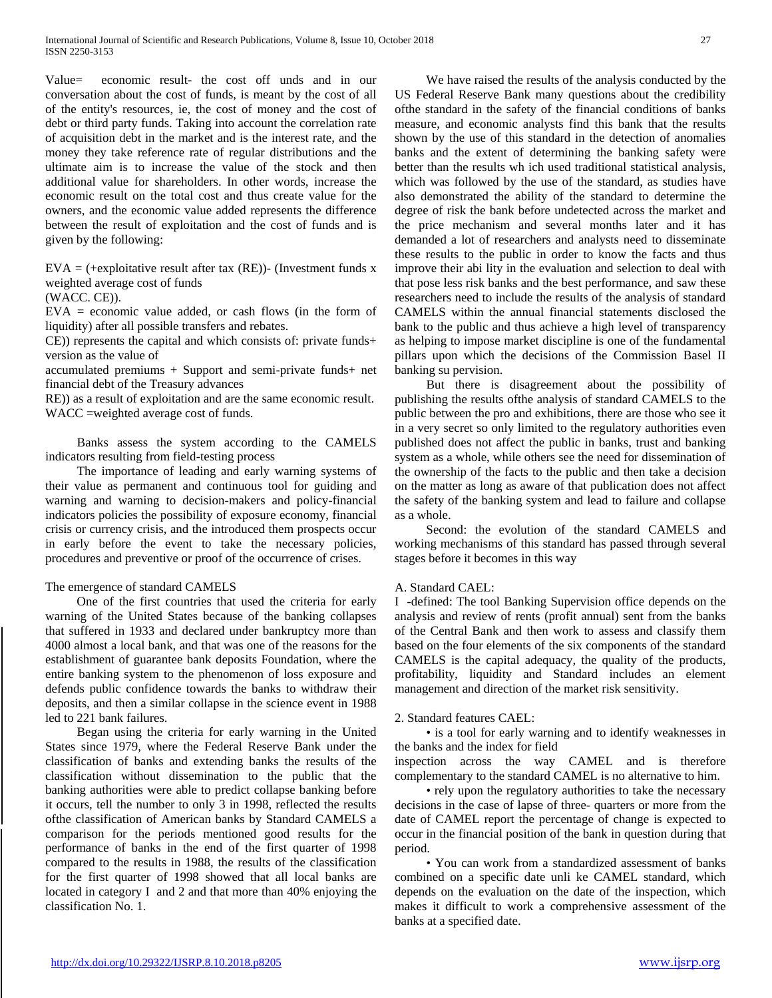Value= economic result- the cost off unds and in our conversation about the cost of funds, is meant by the cost of all of the entity's resources, ie, the cost of money and the cost of debt or third party funds. Taking into account the correlation rate of acquisition debt in the market and is the interest rate, and the money they take reference rate of regular distributions and the ultimate aim is to increase the value of the stock and then additional value for shareholders. In other words, increase the economic result on the total cost and thus create value for the owners, and the economic value added represents the difference between the result of exploitation and the cost of funds and is given by the following:

 $EVA = (+exploitative result after tax (RE))$ - (Investment funds x weighted average cost of funds

(WACC. CE)).

EVA = economic value added, or cash flows (in the form of liquidity) after all possible transfers and rebates.

CE)) represents the capital and which consists of: private funds+ version as the value of

accumulated premiums + Support and semi-private funds+ net financial debt of the Treasury advances

RE)) as a result of exploitation and are the same economic result. WACC =weighted average cost of funds.

 Banks assess the system according to the CAMELS indicators resulting from field-testing process

 The importance of leading and early warning systems of their value as permanent and continuous tool for guiding and warning and warning to decision-makers and policy-financial indicators policies the possibility of exposure economy, financial crisis or currency crisis, and the introduced them prospects occur in early before the event to take the necessary policies, procedures and preventive or proof of the occurrence of crises.

## The emergence of standard CAMELS

 One of the first countries that used the criteria for early warning of the United States because of the banking collapses that suffered in 1933 and declared under bankruptcy more than 4000 almost a local bank, and that was one of the reasons for the establishment of guarantee bank deposits Foundation, where the entire banking system to the phenomenon of loss exposure and defends public confidence towards the banks to withdraw their deposits, and then a similar collapse in the science event in 1988 led to 221 bank failures.

 Began using the criteria for early warning in the United States since 1979, where the Federal Reserve Bank under the classification of banks and extending banks the results of the classification without dissemination to the public that the banking authorities were able to predict collapse banking before it occurs, tell the number to only 3 in 1998, reflected the results ofthe classification of American banks by Standard CAMELS a comparison for the periods mentioned good results for the performance of banks in the end of the first quarter of 1998 compared to the results in 1988, the results of the classification for the first quarter of 1998 showed that all local banks are located in category I and 2 and that more than 40% enjoying the classification No. 1.

 We have raised the results of the analysis conducted by the US Federal Reserve Bank many questions about the credibility ofthe standard in the safety of the financial conditions of banks measure, and economic analysts find this bank that the results shown by the use of this standard in the detection of anomalies banks and the extent of determining the banking safety were better than the results wh ich used traditional statistical analysis, which was followed by the use of the standard, as studies have also demonstrated the ability of the standard to determine the degree of risk the bank before undetected across the market and the price mechanism and several months later and it has demanded a lot of researchers and analysts need to disseminate these results to the public in order to know the facts and thus improve their abi lity in the evaluation and selection to deal with that pose less risk banks and the best performance, and saw these researchers need to include the results of the analysis of standard CAMELS within the annual financial statements disclosed the bank to the public and thus achieve a high level of transparency as helping to impose market discipline is one of the fundamental pillars upon which the decisions of the Commission Basel II banking su pervision.

 But there is disagreement about the possibility of publishing the results ofthe analysis of standard CAMELS to the public between the pro and exhibitions, there are those who see it in a very secret so only limited to the regulatory authorities even published does not affect the public in banks, trust and banking system as a whole, while others see the need for dissemination of the ownership of the facts to the public and then take a decision on the matter as long as aware of that publication does not affect the safety of the banking system and lead to failure and collapse as a whole.

 Second: the evolution of the standard CAMELS and working mechanisms of this standard has passed through several stages before it becomes in this way

#### A. Standard CAEL:

I -defined: The tool Banking Supervision office depends on the analysis and review of rents (profit annual) sent from the banks of the Central Bank and then work to assess and classify them based on the four elements of the six components of the standard CAMELS is the capital adequacy, the quality of the products, profitability, liquidity and Standard includes an element management and direction of the market risk sensitivity.

#### 2. Standard features CAEL:

 • is a tool for early warning and to identify weaknesses in the banks and the index for field

inspection across the way CAMEL and is therefore complementary to the standard CAMEL is no alternative to him.

 • rely upon the regulatory authorities to take the necessary decisions in the case of lapse of three- quarters or more from the date of CAMEL report the percentage of change is expected to occur in the financial position of the bank in question during that period.

 • You can work from a standardized assessment of banks combined on a specific date unli ke CAMEL standard, which depends on the evaluation on the date of the inspection, which makes it difficult to work a comprehensive assessment of the banks at a specified date.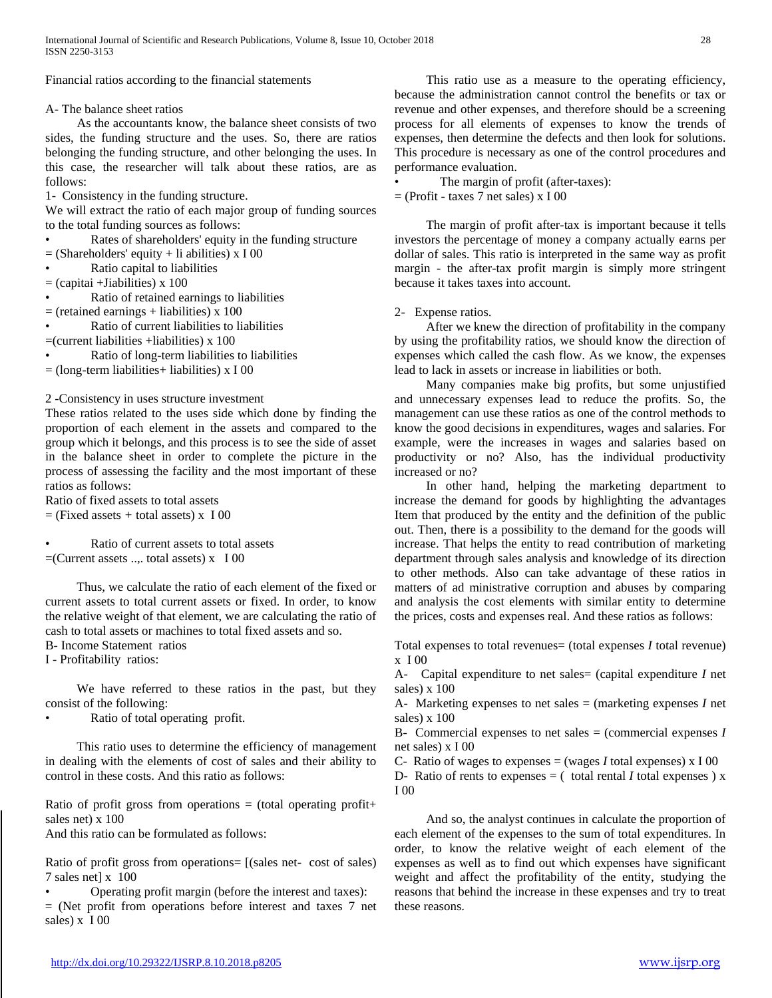Financial ratios according to the financial statements

A- The balance sheet ratios

 As the accountants know, the balance sheet consists of two sides, the funding structure and the uses. So, there are ratios belonging the funding structure, and other belonging the uses. In this case, the researcher will talk about these ratios, are as follows:

1- Consistency in the funding structure.

We will extract the ratio of each major group of funding sources to the total funding sources as follows:

- Rates of shareholders' equity in the funding structure
- $=$  (Shareholders' equity + li abilities) x I 00
- Ratio capital to liabilities
- $=$  (capitai +Jiabilities) x 100
- Ratio of retained earnings to liabilities
- $=$  (retained earnings + liabilities) x 100
- Ratio of current liabilities to liabilities
- =(current liabilities +liabilities) x 100
- Ratio of long-term liabilities to liabilities
- $=$  (long-term liabilities+ liabilities) x I 00

2 -Consistency in uses structure investment

These ratios related to the uses side which done by finding the proportion of each element in the assets and compared to the group which it belongs, and this process is to see the side of asset in the balance sheet in order to complete the picture in the process of assessing the facility and the most important of these ratios as follows:

Ratio of fixed assets to total assets = (Fixed assets *+* total assets) x I 00

• Ratio of current assets to total assets  $=$ (Current assets .... total assets) x I 00

 Thus, we calculate the ratio of each element of the fixed or current assets to total current assets or fixed. In order, to know the relative weight of that element, we are calculating the ratio of cash to total assets or machines to total fixed assets and so.

B- Income Statement ratios

I - Profitability ratios:

 We have referred to these ratios in the past, but they consist of the following:

Ratio of total operating profit.

 This ratio uses to determine the efficiency of management in dealing with the elements of cost of sales and their ability to control in these costs. And this ratio as follows:

Ratio of profit gross from operations  $=$  (total operating profit+ sales net) x 100

And this ratio can be formulated as follows:

Ratio of profit gross from operations= [(sales net- cost of sales) 7 sales net] x 100

• Operating profit margin (before the interest and taxes):

= (Net profit from operations before interest and taxes 7 net sales) x I 00

 This ratio use as a measure to the operating efficiency, because the administration cannot control the benefits or tax or revenue and other expenses, and therefore should be a screening process for all elements of expenses to know the trends of expenses, then determine the defects and then look for solutions. This procedure is necessary as one of the control procedures and performance evaluation.

The margin of profit (after-taxes):

 $=$  (Profit - taxes 7 net sales) x I 00

 The margin of profit after-tax is important because it tells investors the percentage of money a company actually earns per dollar of sales. This ratio is interpreted in the same way as profit margin - the after-tax profit margin is simply more stringent because it takes taxes into account.

# 2- Expense ratios.

 After we knew the direction of profitability in the company by using the profitability ratios, we should know the direction of expenses which called the cash flow. As we know, the expenses lead to lack in assets or increase in liabilities or both.

 Many companies make big profits, but some unjustified and unnecessary expenses lead to reduce the profits. So, the management can use these ratios as one of the control methods to know the good decisions in expenditures, wages and salaries. For example, were the increases in wages and salaries based on productivity or no? Also, has the individual productivity increased or no?

 In other hand, helping the marketing department to increase the demand for goods by highlighting the advantages Item that produced by the entity and the definition of the public out. Then, there is a possibility to the demand for the goods will increase. That helps the entity to read contribution of marketing department through sales analysis and knowledge of its direction to other methods. Also can take advantage of these ratios in matters of ad ministrative corruption and abuses by comparing and analysis the cost elements with similar entity to determine the prices, costs and expenses real. And these ratios as follows:

Total expenses to total revenues= (total expenses *I* total revenue) x I 00

A- Capital expenditure to net sales= (capital expenditure *I* net sales)  $\times$  100

A- Marketing expenses to net sales = (marketing expenses *I* net sales) x 100

B- Commercial expenses to net sales = (commercial expenses *I*  net sales) x I 00

C- Ratio of wages to expenses  $=$  (wages *I* total expenses) x I 00

D- Ratio of rents to expenses  $=$  ( total rental *I* total expenses ) x I 00

 And so, the analyst continues in calculate the proportion of each element of the expenses to the sum of total expenditures. In order, to know the relative weight of each element of the expenses as well as to find out which expenses have significant weight and affect the profitability of the entity, studying the reasons that behind the increase in these expenses and try to treat these reasons.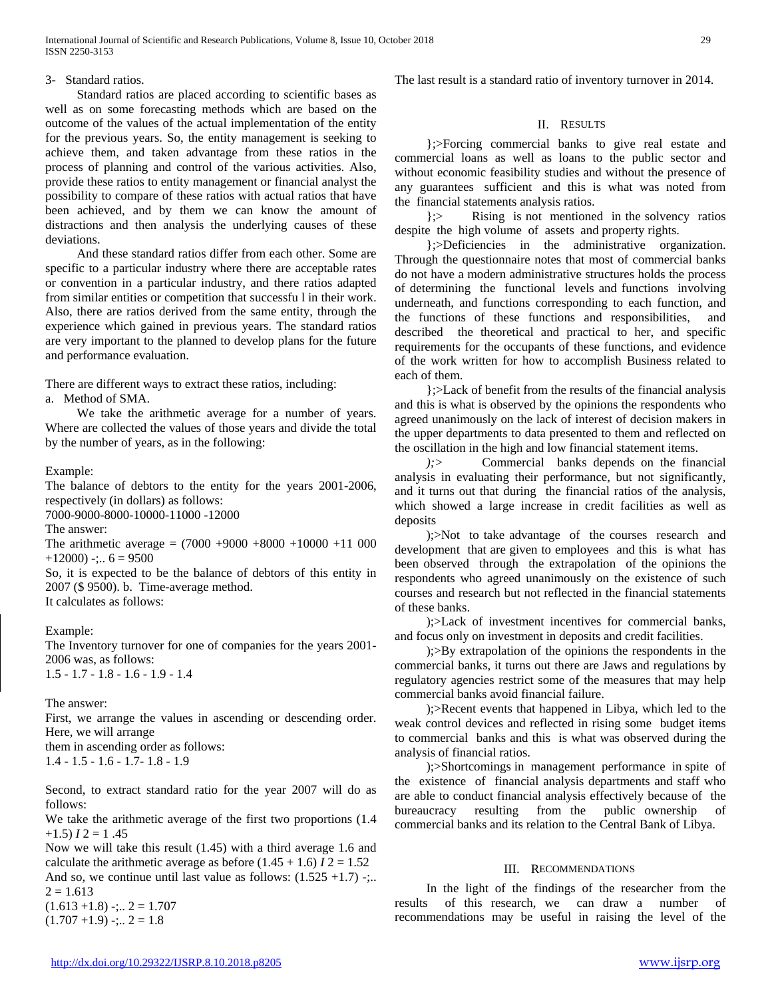## 3- Standard ratios.

 Standard ratios are placed according to scientific bases as well as on some forecasting methods which are based on the outcome of the values of the actual implementation of the entity for the previous years. So, the entity management is seeking to achieve them, and taken advantage from these ratios in the process of planning and control of the various activities. Also, provide these ratios to entity management or financial analyst the possibility to compare of these ratios with actual ratios that have been achieved, and by them we can know the amount of distractions and then analysis the underlying causes of these deviations.

 And these standard ratios differ from each other. Some are specific to a particular industry where there are acceptable rates or convention in a particular industry, and there ratios adapted from similar entities or competition that successfu l in their work. Also, there are ratios derived from the same entity, through the experience which gained in previous years. The standard ratios are very important to the planned to develop plans for the future and performance evaluation.

There are different ways to extract these ratios, including:

a. Method of SMA.

 We take the arithmetic average for a number of years. Where are collected the values of those years and divide the total by the number of years, as in the following:

Example:

The balance of debtors to the entity for the years 2001-2006, respectively (in dollars) as follows:

7000-9000-8000-10000-11000 -12000

The answer:

The arithmetic average =  $(7000 +9000 +8000 +10000 +11000$  $+12000$ ) -;..  $6 = 9500$ 

So, it is expected to be the balance of debtors of this entity in 2007 (\$ 9500). b. Time-average method.

It calculates as follows:

Example:

The Inventory turnover for one of companies for the years 2001- 2006 was, as follows: 1.5 - 1.7 - 1.8 - 1.6 - 1.9 - 1.4

The answer:

First, we arrange the values in ascending or descending order. Here, we will arrange

them in ascending order as follows: 1.4 - 1.5 - 1.6 - 1.7- 1.8 - 1.9

Second, to extract standard ratio for the year 2007 will do as follows:

We take the arithmetic average of the first two proportions (1.4  $+1.5$ )  $I2 = 1.45$ 

Now we will take this result (1.45) with a third average 1.6 and calculate the arithmetic average as before  $(1.45 + 1.6) I2 = 1.52$ 

And so, we continue until last value as follows:  $(1.525 +1.7)$  -;..  $2 = 1.613$ 

 $(1.613 + 1.8)$  -;..  $2 = 1.707$  $(1.707 +1.9)$  -;..  $2 = 1.8$ 

The last result is a standard ratio of inventory turnover in 2014.

# II. RESULTS

 };>Forcing commercial banks to give real estate and commercial loans as well as loans to the public sector and without economic feasibility studies and without the presence of any guarantees sufficient and this is what was noted from the financial statements analysis ratios.

 };> Rising is not mentioned in the solvency ratios despite the high volume of assets and property rights.

 };>Deficiencies in the administrative organization. Through the questionnaire notes that most of commercial banks do not have a modern administrative structures holds the process of determining the functional levels and functions involving underneath, and functions corresponding to each function, and the functions of these functions and responsibilities, and described the theoretical and practical to her, and specific requirements for the occupants of these functions, and evidence of the work written for how to accomplish Business related to each of them.

 };>Lack of benefit from the results of the financial analysis and this is what is observed by the opinions the respondents who agreed unanimously on the lack of interest of decision makers in the upper departments to data presented to them and reflected on the oscillation in the high and low financial statement items.

 *);>* Commercial banks depends on the financial analysis in evaluating their performance, but not significantly, and it turns out that during the financial ratios of the analysis, which showed a large increase in credit facilities as well as deposits

 );>Not to take advantage of the courses research and development that are given to employees and this is what has been observed through the extrapolation of the opinions the respondents who agreed unanimously on the existence of such courses and research but not reflected in the financial statements of these banks.

 );>Lack of investment incentives for commercial banks, and focus only on investment in deposits and credit facilities.

 );>By extrapolation of the opinions the respondents in the commercial banks, it turns out there are Jaws and regulations by regulatory agencies restrict some of the measures that may help commercial banks avoid financial failure.

 );>Recent events that happened in Libya, which led to the weak control devices and reflected in rising some budget items to commercial banks and this is what was observed during the analysis of financial ratios.

 );>Shortcomings in management performance in spite of the existence of financial analysis departments and staff who are able to conduct financial analysis effectively because of the bureaucracy resulting from the public ownership of commercial banks and its relation to the Central Bank of Libya.

## III. RECOMMENDATIONS

 In the light of the findings of the researcher from the results of this research, we can draw a number of recommendations may be useful in raising the level of the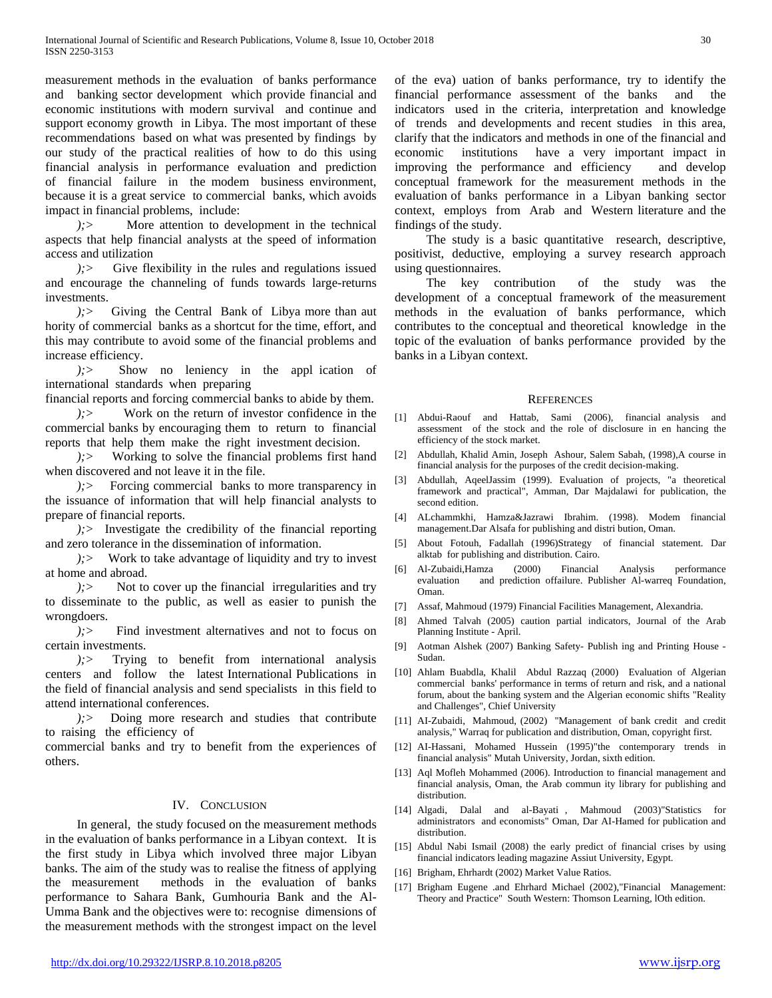measurement methods in the evaluation of banks performance and banking sector development which provide financial and economic institutions with modern survival and continue and support economy growth in Libya. The most important of these recommendations based on what was presented by findings by our study of the practical realities of how to do this using financial analysis in performance evaluation and prediction of financial failure in the modem business environment, because it is a great service to commercial banks, which avoids impact in financial problems, include:

 *);>* More attention to development in the technical aspects that help financial analysts at the speed of information access and utilization

 *);>* Give flexibility in the rules and regulations issued and encourage the channeling of funds towards large-returns investments.

 *);>* Giving the Central Bank of Libya more than aut hority of commercial banks as a shortcut for the time, effort, and this may contribute to avoid some of the financial problems and increase efficiency.

 *);>* Show no leniency in the appl ication of international standards when preparing

financial reports and forcing commercial banks to abide by them.

 *);>* Work on the return of investor confidence in the commercial banks by encouraging them to return to financial reports that help them make the right investment decision.

 *);>* Working to solve the financial problems first hand when discovered and not leave it in the file.

 *);>* Forcing commercial banks to more transparency in the issuance of information that will help financial analysts to prepare of financial reports.

 *);>* Investigate the credibility of the financial reporting and zero tolerance in the dissemination of information.

 *);>* Work to take advantage of liquidity and try to invest at home and abroad.

 *);>* Not to cover up the financial irregularities and try to disseminate to the public, as well as easier to punish the wrongdoers.

 *);>* Find investment alternatives and not to focus on certain investments.

 *);>* Trying to benefit from international analysis centers and follow the latest International Publications in the field of financial analysis and send specialists in this field to attend international conferences.

 *);>* Doing more research and studies that contribute to raising the efficiency of

commercial banks and try to benefit from the experiences of others.

#### IV. CONCLUSION

 In general, the study focused on the measurement methods in the evaluation of banks performance in a Libyan context. It is the first study in Libya which involved three major Libyan banks. The aim of the study was to realise the fitness of applying the measurement methods in the evaluation of banks performance to Sahara Bank, Gumhouria Bank and the Al-Umma Bank and the objectives were to: recognise dimensions of the measurement methods with the strongest impact on the level of the eva) uation of banks performance, try to identify the financial performance assessment of the banks and the indicators used in the criteria, interpretation and knowledge of trends and developments and recent studies in this area, clarify that the indicators and methods in one of the financial and economic institutions have a very important impact in improving the performance and efficiency and develop conceptual framework for the measurement methods in the evaluation of banks performance in a Libyan banking sector context, employs from Arab and Western literature and the findings of the study.

 The study is a basic quantitative research, descriptive, positivist, deductive, employing a survey research approach using questionnaires.

 The key contribution of the study was the development of a conceptual framework of the measurement methods in the evaluation of banks performance, which contributes to the conceptual and theoretical knowledge in the topic of the evaluation of banks performance provided by the banks in a Libyan context.

#### **REFERENCES**

- [1] Abdui-Raouf and Hattab, Sami (2006), financial analysis and assessment of the stock and the role of disclosure in en hancing the efficiency of the stock market.
- [2] Abdullah, Khalid Amin, Joseph Ashour, Salem Sabah, (1998),A course in financial analysis for the purposes of the credit decision-making.
- [3] Abdullah, AqeelJassim (1999). Evaluation of projects, "a theoretical framework and practical", Amman, Dar Majdalawi for publication, the second edition.
- [4] ALchammkhi, Hamza&Jazrawi Ibrahim. (1998). Modem financial management.Dar Alsafa for publishing and distri bution, Oman.
- [5] About Fotouh, Fadallah (1996)Strategy of financial statement. Dar alktab for publishing and distribution. Cairo.
- [6] Al-Zubaidi,Hamza (2000) Financial Analysis performance evaluation and prediction offailure. Publisher Al-warreq Foundation, Oman.
- [7] Assaf, Mahmoud (1979) Financial Facilities Management, Alexandria.
- [8] Ahmed Talvah (2005) caution partial indicators, Journal of the Arab Planning Institute - April.
- [9] Aotman Alshek (2007) Banking Safety- Publish ing and Printing House Sudan.
- [10] Ahlam Buabdla, Khalil Abdul Razzaq (2000) Evaluation of Algerian commercial banks' performance in terms of return and risk, and a national forum, about the banking system and the Algerian economic shifts "Reality and Challenges", Chief University
- [11] AI-Zubaidi, Mahmoud, (2002) "Management of bank credit and credit analysis," Warraq for publication and distribution, Oman, copyright first.
- [12] AI-Hassani, Mohamed Hussein (1995)"the contemporary trends in financial analysis" Mutah University, Jordan, sixth edition.
- [13] Aql Mofleh Mohammed (2006). Introduction to financial management and financial analysis, Oman, the Arab commun ity library for publishing and distribution.
- [14] Algadi, Dalal and al-Bayati , Mahmoud (2003)"Statistics for administrators and economists" Oman, Dar AI-Hamed for publication and distribution.
- [15] Abdul Nabi Ismail (2008) the early predict of financial crises by using financial indicators leading magazine Assiut University, Egypt.
- [16] Brigham, Ehrhardt (2002) Market Value Ratios.
- [17] Brigham Eugene .and Ehrhard Michael (2002),"Financial Management: Theory and Practice" South Western: Thomson Learning, lOth edition.